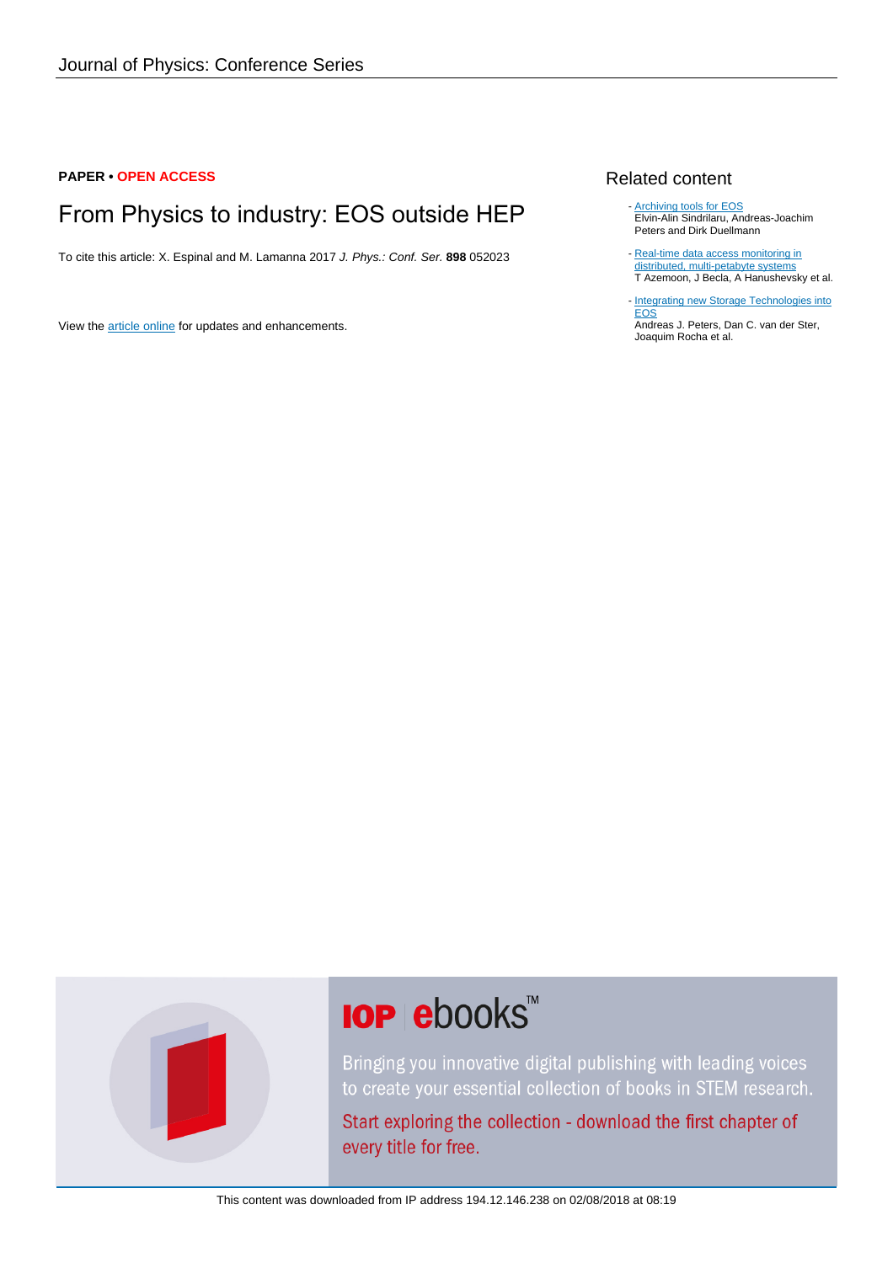### **PAPER • OPEN ACCESS**

# From Physics to industry: EOS outside HEP

To cite this article: X. Espinal and M. Lamanna 2017 J. Phys.: Conf. Ser. **898** 052023

View the [article online](https://doi.org/10.1088/1742-6596/898/5/052023) for updates and enhancements.

#### Related content

- **[Archiving tools for EOS](http://iopscience.iop.org/article/10.1088/1742-6596/664/4/042049)** Elvin-Alin Sindrilaru, Andreas-Joachim Peters and Dirk Duellmann
- [Real-time data access monitoring in](http://iopscience.iop.org/article/10.1088/1742-6596/119/7/072006) [distributed, multi-petabyte systems](http://iopscience.iop.org/article/10.1088/1742-6596/119/7/072006) T Azemoon, J Becla, A Hanushevsky et al.
- [Integrating new Storage Technologies into](http://iopscience.iop.org/article/10.1088/1742-6596/664/4/042043) <u>[EOS](http://iopscience.iop.org/article/10.1088/1742-6596/664/4/042043)</u>

Andreas J. Peters, Dan C. van der Ster, Joaquim Rocha et al.



# **IOP ebooks**™

Bringing you innovative digital publishing with leading voices to create your essential collection of books in STEM research.

Start exploring the collection - download the first chapter of every title for free.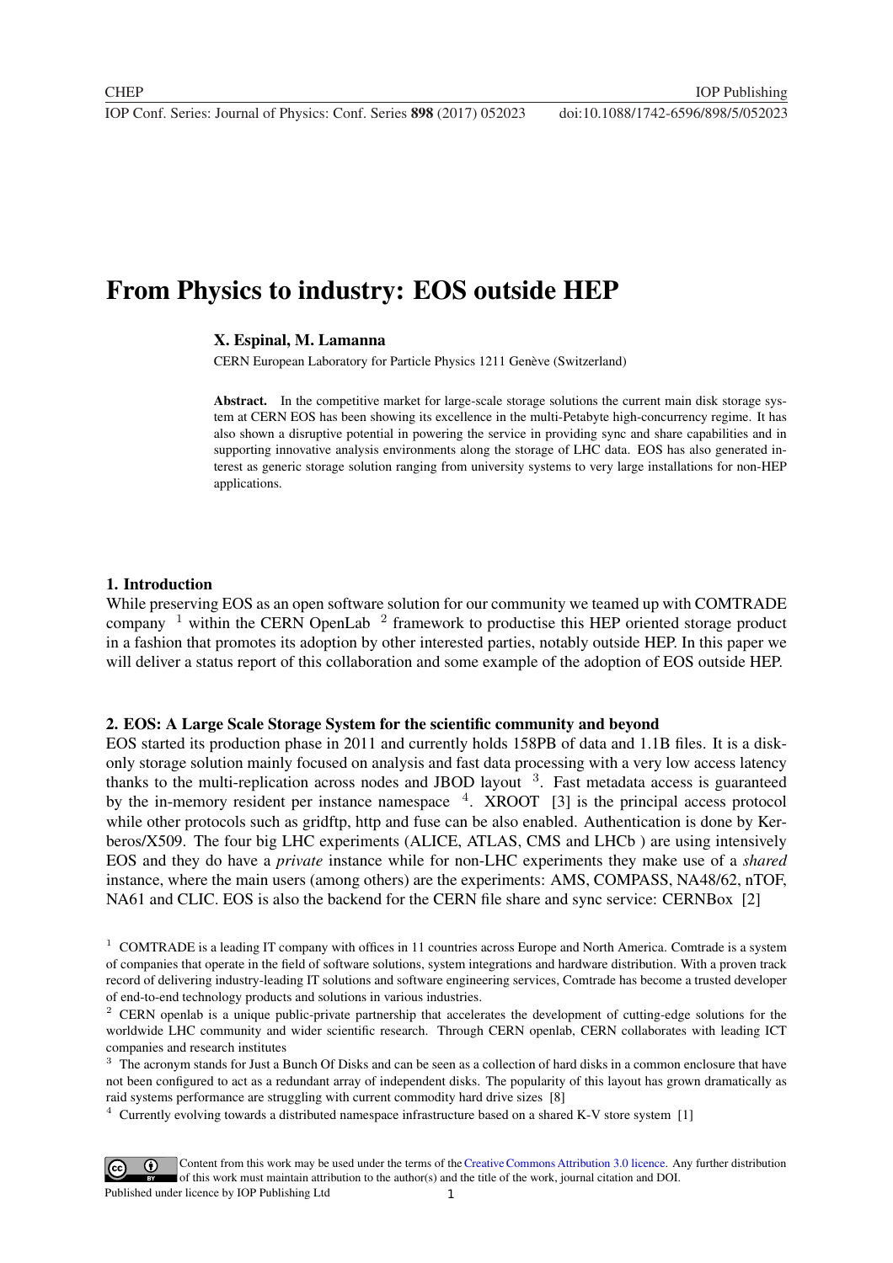**1234567890** IOP Conf. Series: Journal of Physics: Conf. Series **898** (2017) 052023 doi :10.1088/1742-6596/898/5/052023

## From Physics to industry: EOS outside HEP

#### X. Espinal, M. Lamanna

CERN European Laboratory for Particle Physics 1211 Genève (Switzerland)

Abstract. In the competitive market for large-scale storage solutions the current main disk storage system at CERN EOS has been showing its excellence in the multi-Petabyte high-concurrency regime. It has also shown a disruptive potential in powering the service in providing sync and share capabilities and in supporting innovative analysis environments along the storage of LHC data. EOS has also generated interest as generic storage solution ranging from university systems to very large installations for non-HEP applications.

#### 1. Introduction

While preserving EOS as an open software solution for our community we teamed up with COMTRADE company <sup>1</sup> within the CERN OpenLab <sup>2</sup> framework to productise this HEP oriented storage product in a fashion that promotes its adoption by other interested parties, notably outside HEP. In this paper we will deliver a status report of this collaboration and some example of the adoption of EOS outside HEP.

#### 2. EOS: A Large Scale Storage System for the scientific community and beyond

EOS started its production phase in 2011 and currently holds 158PB of data and 1.1B files. It is a diskonly storage solution mainly focused on analysis and fast data processing with a very low access latency thanks to the multi-replication across nodes and JBOD layout <sup>3</sup>. Fast metadata access is guaranteed by the in-memory resident per instance namespace  $4.$  XROOT [3] is the principal access protocol while other protocols such as gridftp, http and fuse can be also enabled. Authentication is done by Kerberos/X509. The four big LHC experiments (ALICE, ATLAS, CMS and LHCb ) are using intensively EOS and they do have a *private* instance while for non-LHC experiments they make use of a *shared* instance, where the main users (among others) are the experiments: AMS, COMPASS, NA48/62, nTOF, NA61 and CLIC. EOS is also the backend for the CERN file share and sync service: CERNBox [2]

 $3$  The acronym stands for Just a Bunch Of Disks and can be seen as a collection of hard disks in a common enclosure that have not been configured to act as a redundant array of independent disks. The popularity of this layout has grown dramatically as raid systems performance are struggling with current commodity hard drive sizes [8]

<sup>4</sup> Currently evolving towards a distributed namespace infrastructure based on a shared K-V store system [1]



Content from this work may be used under the terms of the Creative Commons Attribution 3.0 licence. Any further distribution of this work must maintain attribution to the author(s) and the title of the work, journal citation and DOI. Published under licence by IOP Publishing Ltd

 $1$  COMTRADE is a leading IT company with offices in 11 countries across Europe and North America. Comtrade is a system of companies that operate in the field of software solutions, system integrations and hardware distribution. With a proven track record of delivering industry-leading IT solutions and software engineering services, Comtrade has become a trusted developer of end-to-end technology products and solutions in various industries.

 $2$  CERN openlab is a unique public-private partnership that accelerates the development of cutting-edge solutions for the worldwide LHC community and wider scientific research. Through CERN openlab, CERN collaborates with leading ICT companies and research institutes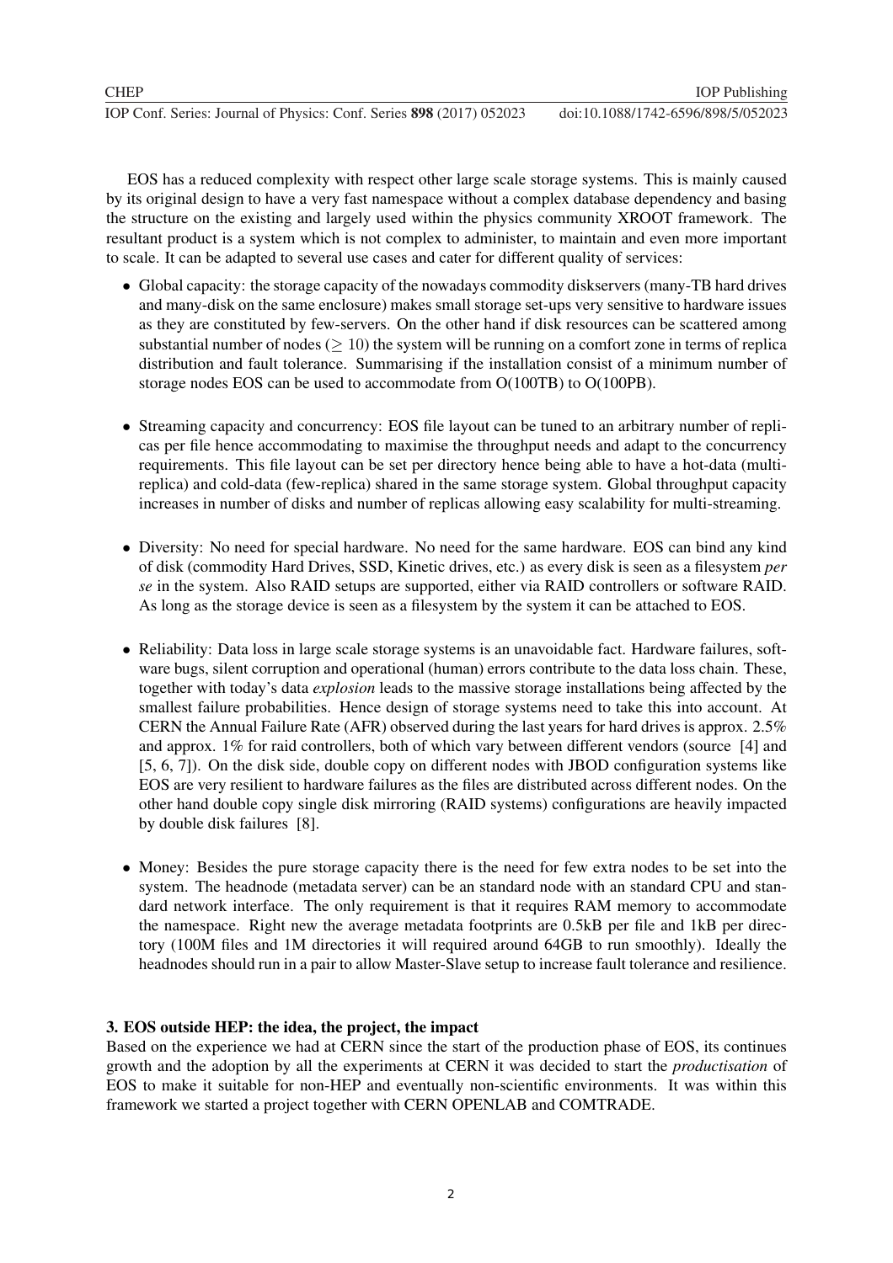EOS has a reduced complexity with respect other large scale storage systems. This is mainly caused by its original design to have a very fast namespace without a complex database dependency and basing the structure on the existing and largely used within the physics community XROOT framework. The resultant product is a system which is not complex to administer, to maintain and even more important to scale. It can be adapted to several use cases and cater for different quality of services:

- Global capacity: the storage capacity of the nowadays commodity diskservers (many-TB hard drives and many-disk on the same enclosure) makes small storage set-ups very sensitive to hardware issues as they are constituted by few-servers. On the other hand if disk resources can be scattered among substantial number of nodes ( $\geq 10$ ) the system will be running on a comfort zone in terms of replica distribution and fault tolerance. Summarising if the installation consist of a minimum number of storage nodes EOS can be used to accommodate from O(100TB) to O(100PB).
- Streaming capacity and concurrency: EOS file layout can be tuned to an arbitrary number of replicas per file hence accommodating to maximise the throughput needs and adapt to the concurrency requirements. This file layout can be set per directory hence being able to have a hot-data (multireplica) and cold-data (few-replica) shared in the same storage system. Global throughput capacity increases in number of disks and number of replicas allowing easy scalability for multi-streaming.
- Diversity: No need for special hardware. No need for the same hardware. EOS can bind any kind of disk (commodity Hard Drives, SSD, Kinetic drives, etc.) as every disk is seen as a filesystem *per se* in the system. Also RAID setups are supported, either via RAID controllers or software RAID. As long as the storage device is seen as a filesystem by the system it can be attached to EOS.
- Reliability: Data loss in large scale storage systems is an unavoidable fact. Hardware failures, software bugs, silent corruption and operational (human) errors contribute to the data loss chain. These, together with today's data *explosion* leads to the massive storage installations being affected by the smallest failure probabilities. Hence design of storage systems need to take this into account. At CERN the Annual Failure Rate (AFR) observed during the last years for hard drives is approx. 2.5% and approx. 1% for raid controllers, both of which vary between different vendors (source [4] and [5, 6, 7]). On the disk side, double copy on different nodes with JBOD configuration systems like EOS are very resilient to hardware failures as the files are distributed across different nodes. On the other hand double copy single disk mirroring (RAID systems) configurations are heavily impacted by double disk failures [8].
- Money: Besides the pure storage capacity there is the need for few extra nodes to be set into the system. The headnode (metadata server) can be an standard node with an standard CPU and standard network interface. The only requirement is that it requires RAM memory to accommodate the namespace. Right new the average metadata footprints are 0.5kB per file and 1kB per directory (100M files and 1M directories it will required around 64GB to run smoothly). Ideally the headnodes should run in a pair to allow Master-Slave setup to increase fault tolerance and resilience.

## 3. EOS outside HEP: the idea, the project, the impact

Based on the experience we had at CERN since the start of the production phase of EOS, its continues growth and the adoption by all the experiments at CERN it was decided to start the *productisation* of EOS to make it suitable for non-HEP and eventually non-scientific environments. It was within this framework we started a project together with CERN OPENLAB and COMTRADE.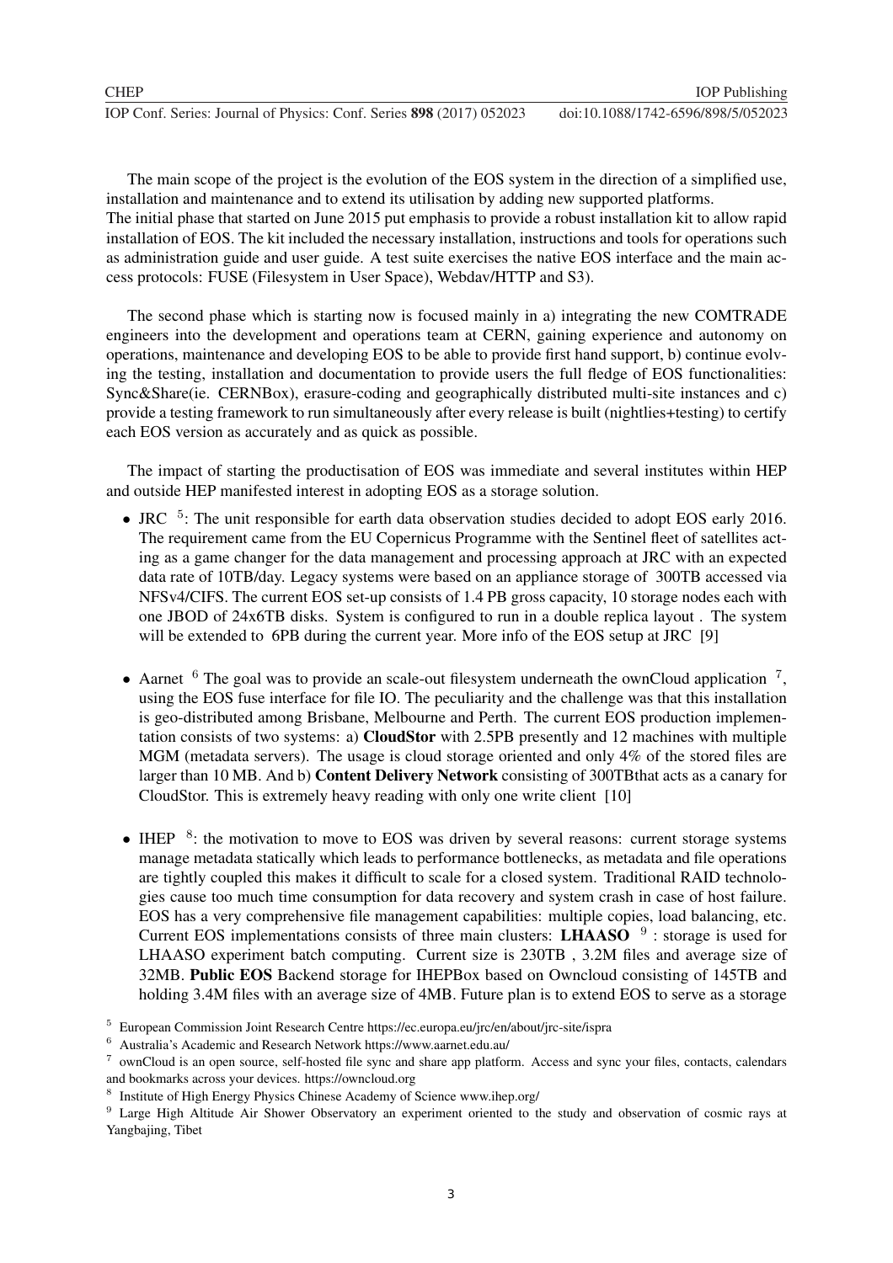| CHEP                                                                 |             |
|----------------------------------------------------------------------|-------------|
| IOP Conf. Series: Journal of Physics: Conf. Series 898 (2017) 052023 | doi:10.1088 |

The main scope of the project is the evolution of the EOS system in the direction of a simplified use, installation and maintenance and to extend its utilisation by adding new supported platforms.

The initial phase that started on June 2015 put emphasis to provide a robust installation kit to allow rapid installation of EOS. The kit included the necessary installation, instructions and tools for operations such as administration guide and user guide. A test suite exercises the native EOS interface and the main access protocols: FUSE (Filesystem in User Space), Webdav/HTTP and S3).

The second phase which is starting now is focused mainly in a) integrating the new COMTRADE engineers into the development and operations team at CERN, gaining experience and autonomy on operations, maintenance and developing EOS to be able to provide first hand support, b) continue evolving the testing, installation and documentation to provide users the full fledge of EOS functionalities: Sync&Share(ie. CERNBox), erasure-coding and geographically distributed multi-site instances and c) provide a testing framework to run simultaneously after every release is built (nightlies+testing) to certify each EOS version as accurately and as quick as possible.

The impact of starting the productisation of EOS was immediate and several institutes within HEP and outside HEP manifested interest in adopting EOS as a storage solution.

- JRC <sup>5</sup>: The unit responsible for earth data observation studies decided to adopt EOS early 2016. The requirement came from the EU Copernicus Programme with the Sentinel fleet of satellites acting as a game changer for the data management and processing approach at JRC with an expected data rate of 10TB/day. Legacy systems were based on an appliance storage of 300TB accessed via NFSv4/CIFS. The current EOS set-up consists of 1.4 PB gross capacity, 10 storage nodes each with one JBOD of 24x6TB disks. System is configured to run in a double replica layout . The system will be extended to 6PB during the current year. More info of the EOS setup at JRC [9]
- Aarnet  $6$  The goal was to provide an scale-out filesystem underneath the ownCloud application  $7$ , using the EOS fuse interface for file IO. The peculiarity and the challenge was that this installation is geo-distributed among Brisbane, Melbourne and Perth. The current EOS production implementation consists of two systems: a) CloudStor with 2.5PB presently and 12 machines with multiple MGM (metadata servers). The usage is cloud storage oriented and only 4% of the stored files are larger than 10 MB. And b) Content Delivery Network consisting of 300TBthat acts as a canary for CloudStor. This is extremely heavy reading with only one write client [10]
- IHEP <sup>8</sup>: the motivation to move to EOS was driven by several reasons: current storage systems manage metadata statically which leads to performance bottlenecks, as metadata and file operations are tightly coupled this makes it difficult to scale for a closed system. Traditional RAID technologies cause too much time consumption for data recovery and system crash in case of host failure. EOS has a very comprehensive file management capabilities: multiple copies, load balancing, etc. Current EOS implementations consists of three main clusters: LHAASO  $9$  : storage is used for LHAASO experiment batch computing. Current size is 230TB , 3.2M files and average size of 32MB. Public EOS Backend storage for IHEPBox based on Owncloud consisting of 145TB and holding 3.4M files with an average size of 4MB. Future plan is to extend EOS to serve as a storage

<sup>5</sup> European Commission Joint Research Centre https://ec.europa.eu/jrc/en/about/jrc-site/ispra

<sup>6</sup> Australia's Academic and Research Network https://www.aarnet.edu.au/

<sup>7</sup> ownCloud is an open source, self-hosted file sync and share app platform. Access and sync your files, contacts, calendars and bookmarks across your devices. https://owncloud.org

<sup>8</sup> Institute of High Energy Physics Chinese Academy of Science www.ihep.org/

<sup>&</sup>lt;sup>9</sup> Large High Altitude Air Shower Observatory an experiment oriented to the study and observation of cosmic rays at Yangbajing, Tibet